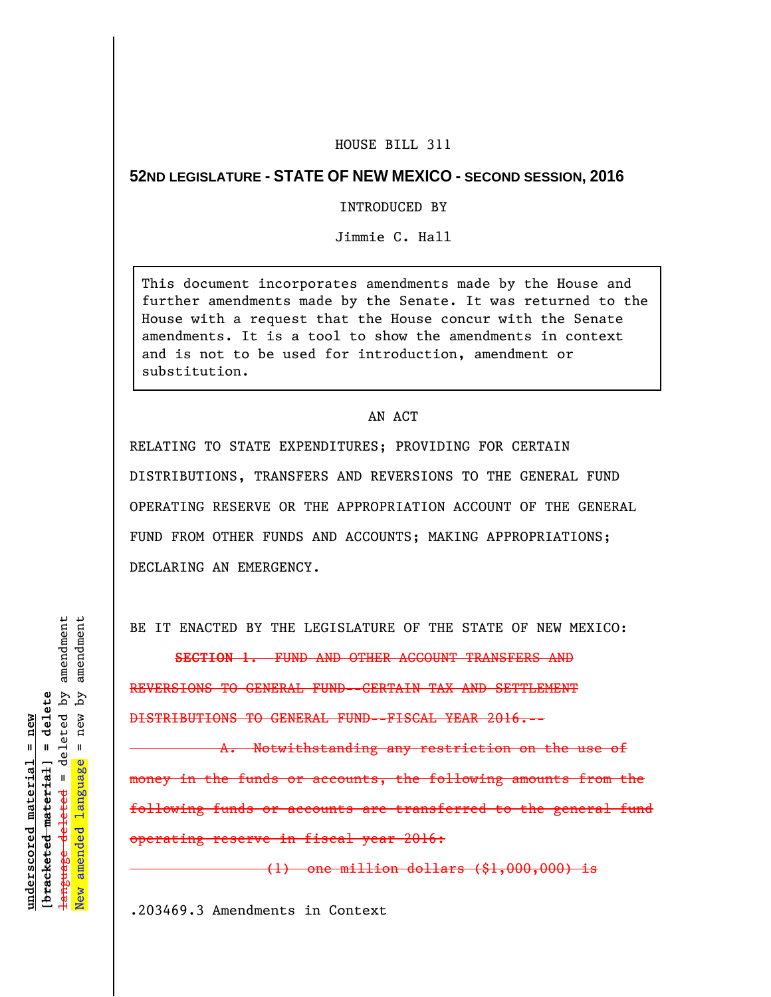## HOUSE BILL 311

## **52ND LEGISLATURE - STATE OF NEW MEXICO - SECOND SESSION, 2016**

## INTRODUCED BY

Jimmie C. Hall

This document incorporates amendments made by the House and further amendments made by the Senate. It was returned to the House with a request that the House concur with the Senate amendments. It is a tool to show the amendments in context and is not to be used for introduction, amendment or substitution.

## AN ACT

RELATING TO STATE EXPENDITURES; PROVIDING FOR CERTAIN DISTRIBUTIONS, TRANSFERS AND REVERSIONS TO THE GENERAL FUND OPERATING RESERVE OR THE APPROPRIATION ACCOUNT OF THE GENERAL FUND FROM OTHER FUNDS AND ACCOUNTS; MAKING APPROPRIATIONS; DECLARING AN EMERGENCY.

BE IT ENACTED BY THE LEGISLATURE OF THE STATE OF NEW MEXICO:

**SECTION 1.** FUND AND OTHER ACCOUNT TRANSFERS AND

REVERSIONS TO GENERAL FUND--CERTAIN TAX AND SETTLEMENT DISTRIBUTIONS TO GENERAL FUND--FISCAL YEAR 2016.--

A. Notwithstanding any restriction on the use of money in the funds or accounts, the following amounts from the following funds or accounts are transferred to the general fund operating reserve in fiscal year 2016:

(1) one million dollars (\$1,000,000) is

.203469.3 Amendments in Context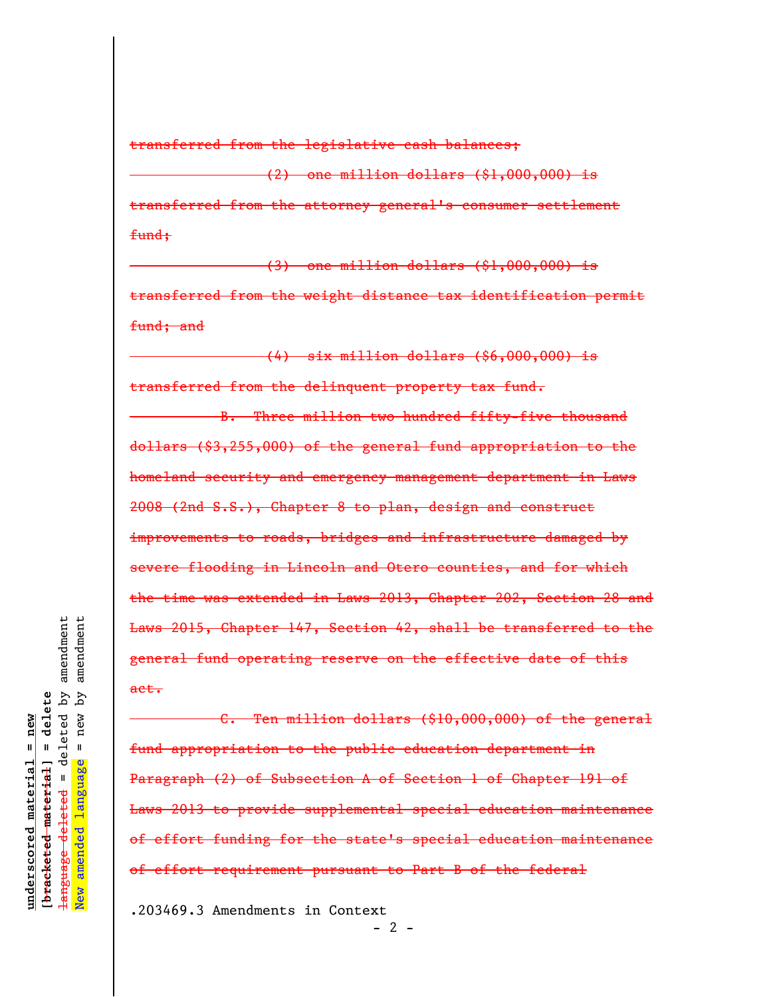transferred from the legislative cash balances;

(2) one million dollars (\$1,000,000) is transferred from the attorney general's consumer settlement fund;

(3) one million dollars (\$1,000,000) is transferred from the weight distance tax identification permit fund; and

(4) six million dollars (\$6,000,000) is transferred from the delinquent property tax fund.

B. Three million two hundred fifty-five thousand dollars (\$3,255,000) of the general fund appropriation to the homeland security and emergency management department in Laws 2008 (2nd S.S.), Chapter 8 to plan, design and construct improvements to roads, bridges and infrastructure damaged by severe flooding in Lincoln and Otero counties, and for which the time was extended in Laws 2013, Chapter 202, Section 28 and Laws 2015, Chapter 147, Section 42, shall be transferred to the general fund operating reserve on the effective date of this act.

C. Ten million dollars (\$10,000,000) of the general fund appropriation to the public education department in Paragraph (2) of Subsection A of Section 1 of Chapter 191 of Laws 2013 to provide supplemental special education maintenance of effort funding for the state's special education maintenance of effort requirement pursuant to Part B of the federal

 $- 2 -$ 

.203469.3 Amendments in Context

amendment amendment language deleted = deleted by amendment New amended language = new by amendment deleted by  $=$  delete ζq **[bracketed material] = delete**  $new$  $underscored material = new$ **underscored material = new**  $\mathbf{u}$ [<del>bracketed material</del>] language <del>deleted</del> amended <del>language</del> New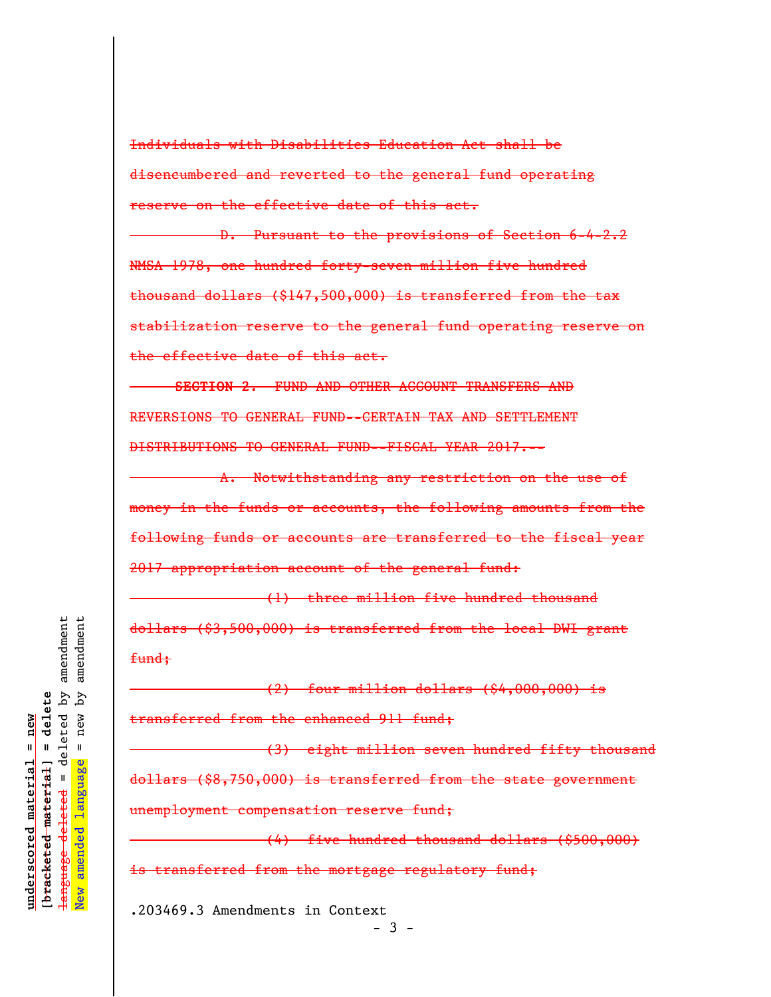Individuals with Disabilities Education Act shall be disencumbered and reverted to the general fund operating reserve on the effective date of this act.

D. Pursuant to the provisions of Section 6-4-2.2 NMSA 1978, one hundred forty-seven million five hundred thousand dollars (\$147,500,000) is transferred from the tax stabilization reserve to the general fund operating reserve on the effective date of this act.

**SECTION 2.** FUND AND OTHER ACCOUNT TRANSFERS AND REVERSIONS TO GENERAL FUND--CERTAIN TAX AND SETTLEMENT DISTRIBUTIONS TO GENERAL FUND--FISCAL YEAR 2017.--

A. Notwithstanding any restriction on the use of money in the funds or accounts, the following amounts from the following funds or accounts are transferred to the fiscal year 2017 appropriation account of the general fund:

(1) three million five hundred thousand dollars (\$3,500,000) is transferred from the local DWI grant fund;

(2) four million dollars (\$4,000,000) is transferred from the enhanced 911 fund;

(3) eight million seven hundred fifty thousand dollars (\$8,750,000) is transferred from the state government unemployment compensation reserve fund;

(4) five hundred thousand dollars (\$500,000) is transferred from the mortgage regulatory fund;

.203469.3 Amendments in Context

 $-3 -$ 

amendment amendment language deleted = deleted by amendment New amended language = new by amendment deleted by  $=$  delete ζq **[bracketed material] = delete**  $new$  $anderscored material = new$ **underscored material = new**  $\mathbf{u}$ [bracketed material] language amended <del>language</del> New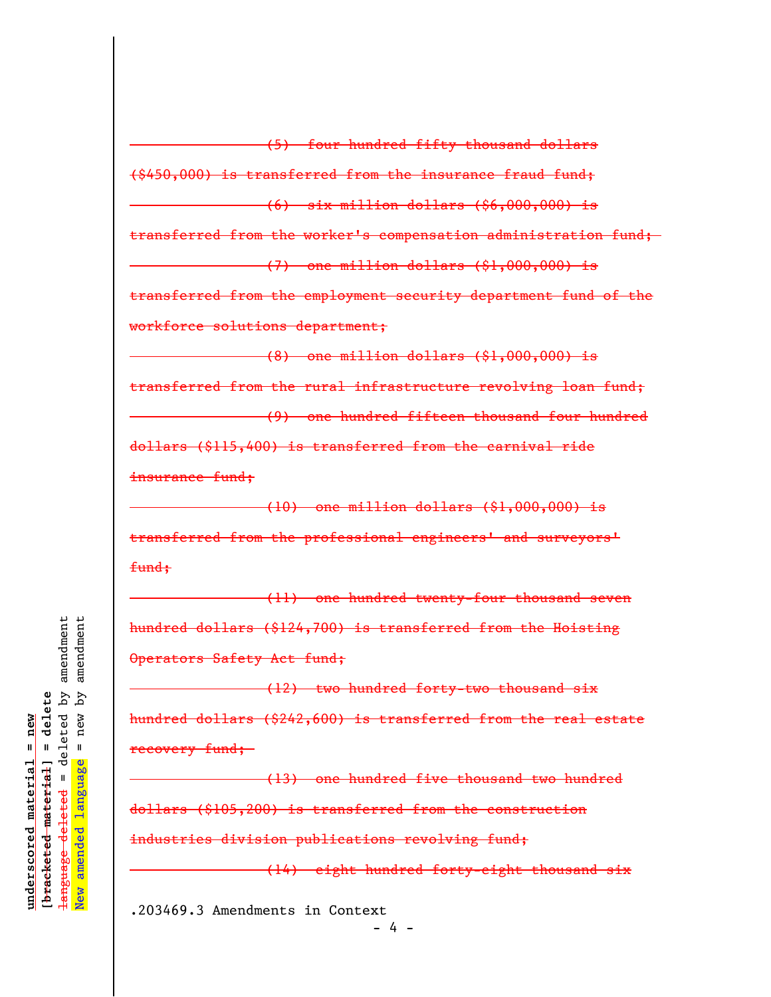(6) six million dollars (\$6,000,000) is transferred from the worker's compensation administration fund;  $(7)$  one million dollars  $(81,000,000)$  is transferred from the employment security department fund of the workforce solutions department; (8) one million dollars (\$1,000,000) is transferred from the rural infrastructure revolving loan fund; (9) one hundred fifteen thousand four hundred dollars (\$115,400) is transferred from the carnival ride insurance fund; (10) one million dollars (\$1,000,000) is

(\$450,000) is transferred from the insurance fraud fund;

(5) four hundred fifty thousand dollars

transferred from the professional engineers' and surveyors' fund;

(11) one hundred twenty-four thousand seven hundred dollars (\$124,700) is transferred from the Hoisting Operators Safety Act fund;

(12) two hundred forty-two thousand six hundred dollars (\$242,600) is transferred from the real estate recovery fund;

(13) one hundred five thousand two hundred dollars (\$105,200) is transferred from the construction industries division publications revolving fund;

(14) eight hundred forty-eight thousand six

.203469.3 Amendments in Context  $- 4 -$ 

amendment amendment language deleted = deleted by amendment New amended language = new by amendment deleted by [bracketed material] = delete ζq **[bracketed material] = delete** new inderscored material = new **underscored material = new**  $\mathbf{u}$ language  $\mathbf{u}$ language deleted amended New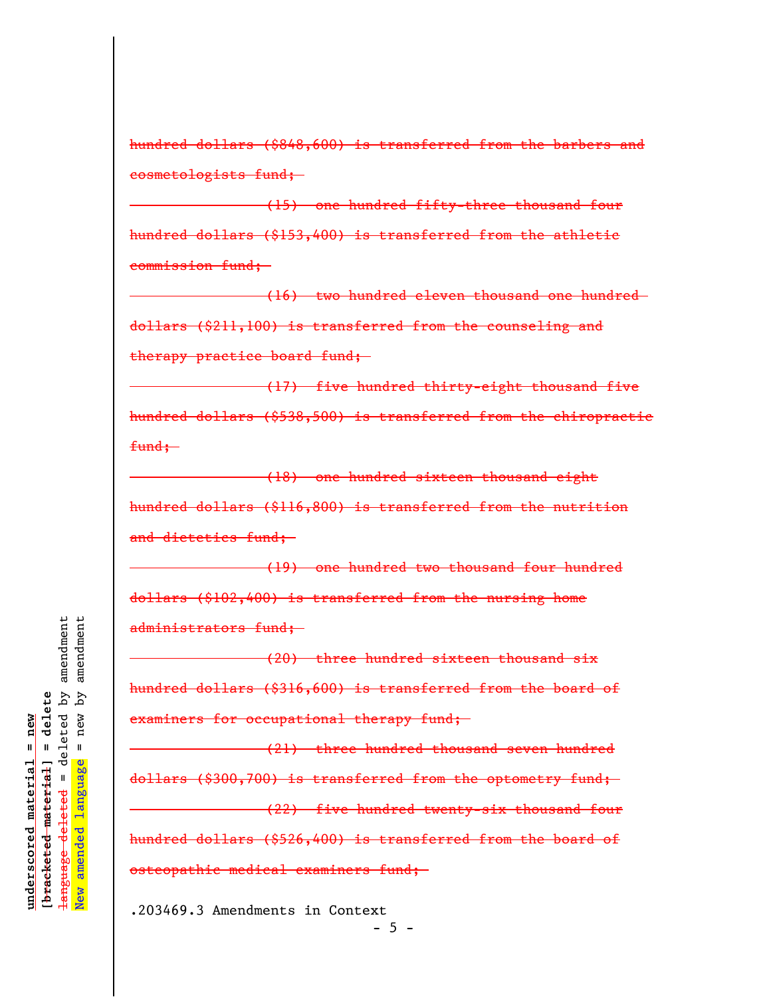hundred dollars (\$848,600) is transferred from the barbers and cosmetologists fund;

(15) one hundred fifty-three thousand four hundred dollars (\$153,400) is transferred from the athletic commission fund;

(16) two hundred eleven thousand one hundred dollars (\$211,100) is transferred from the counseling and therapy practice board fund;

(17) five hundred thirty-eight thousand five hundred dollars (\$538,500) is transferred from the chiropractic  $f$ und;

(18) one hundred sixteen thousand eight hundred dollars (\$116,800) is transferred from the nutrition and dietetics fund;

(19) one hundred two thousand four hundred dollars (\$102,400) is transferred from the nursing home administrators fund;

(20) three hundred sixteen thousand six hundred dollars (\$316,600) is transferred from the board of examiners for occupational therapy fund;

(21) three hundred thousand seven hundred dollars (\$300,700) is transferred from the optometry fund; (22) five hundred twenty-six thousand four hundred dollars (\$526,400) is transferred from the board of osteopathic medical examiners fund;

.203469.3 Amendments in Context  $-5 -$ 

amendment amendment language deleted = deleted by amendment New amended language = new by amendment deleted by [bracketed material] = delete Ъy **[bracketed material] = delete** new inderscored material = new **underscored material = new**  $\mathbf{u}$ amended language deleted <del>language</del> New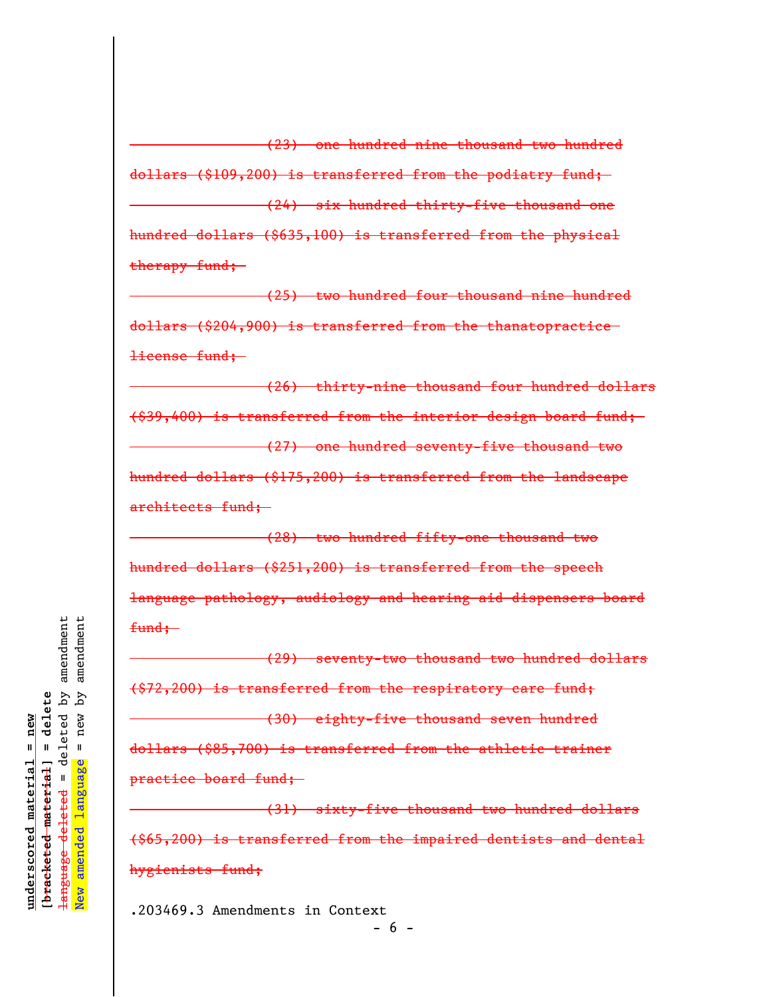(23) one hundred nine thousand two hundred dollars (\$109,200) is transferred from the podiatry fund; (24) six hundred thirty-five thousand one hundred dollars (\$635,100) is transferred from the physical therapy fund;

(25) two hundred four thousand nine hundred dollars (\$204,900) is transferred from the thanatopractice license fund;

(26) thirty-nine thousand four hundred dollars (\$39,400) is transferred from the interior design board fund; (27) one hundred seventy-five thousand two hundred dollars (\$175,200) is transferred from the landscape architects fund;

(28) two hundred fifty-one thousand two hundred dollars (\$251,200) is transferred from the speech language pathology, audiology and hearing aid dispensers board  $f$ und:

(29) seventy-two thousand two hundred dollars (\$72,200) is transferred from the respiratory care fund; (30) eighty-five thousand seven hundred dollars (\$85,700) is transferred from the athletic trainer practice board fund;

(31) sixty-five thousand two hundred dollars (\$65,200) is transferred from the impaired dentists and dental hygienists fund;

.203469.3 Amendments in Context  $- 6 -$ 

amendment amendment language deleted = deleted by amendment New amended language = new by amendment deleted by [bracketed material] = delete ζq **[bracketed material] = delete**  $new$  $underscored material = new$ **underscored material = new**  $\mathbf{I}$ amended language  $\mathbf{u}$ language deleted New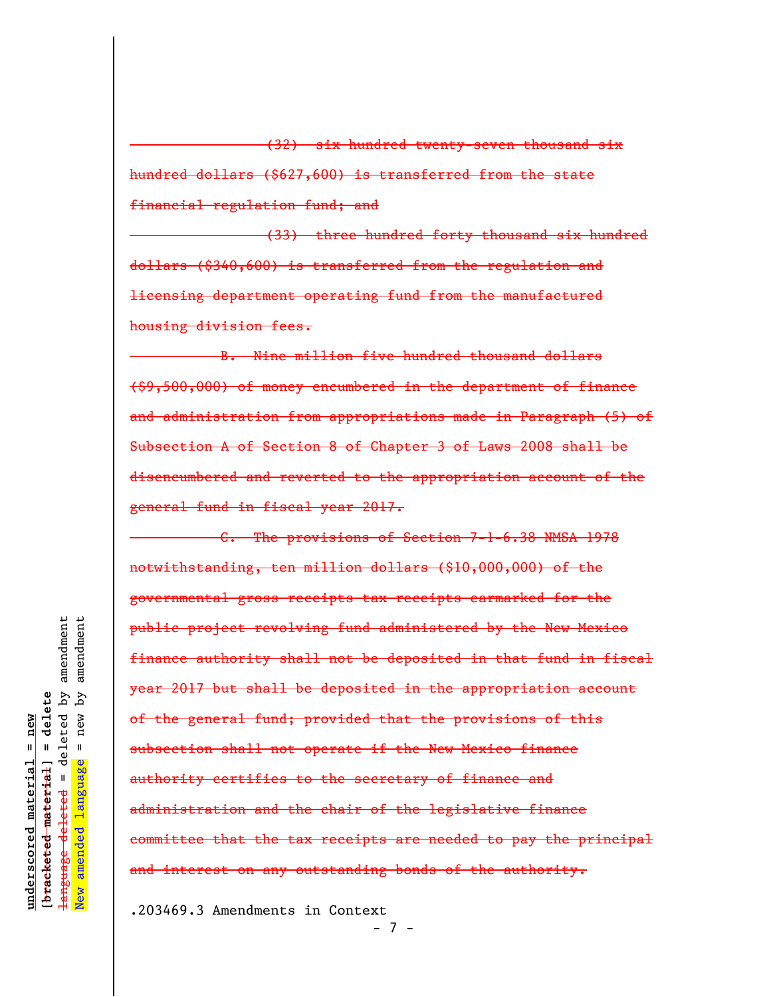(32) six hundred twenty-seven thousand six hundred dollars (\$627,600) is transferred from the state financial regulation fund; and

(33) three hundred forty thousand six hundred dollars (\$340,600) is transferred from the regulation and licensing department operating fund from the manufactured housing division fees.

B. Nine million five hundred thousand dollars (\$9,500,000) of money encumbered in the department of finance and administration from appropriations made in Paragraph (5) of Subsection A of Section 8 of Chapter 3 of Laws 2008 shall be disencumbered and reverted to the appropriation account of the general fund in fiscal year 2017.

C. The provisions of Section 7-1-6.38 NMSA 1978 notwithstanding, ten million dollars (\$10,000,000) of the governmental gross receipts tax receipts earmarked for the public project revolving fund administered by the New Mexico finance authority shall not be deposited in that fund in fiscal year 2017 but shall be deposited in the appropriation account of the general fund; provided that the provisions of this subsection shall not operate if the New Mexico finance authority certifies to the secretary of finance and administration and the chair of the legislative finance committee that the tax receipts are needed to pay the principal and interest on any outstanding bonds of the authority.

.203469.3 Amendments in Context

- 7 -

amendment amendment language deleted = deleted by amendment New amended language = new by amendment deleted by  $=$  delete ζq **[bracketed material] = delete**  $new$  $underscored material = new$ **underscored material = new**  $\mathbf{u}$ [<del>bracketed material</del>] language deleted amended <del>language</del> New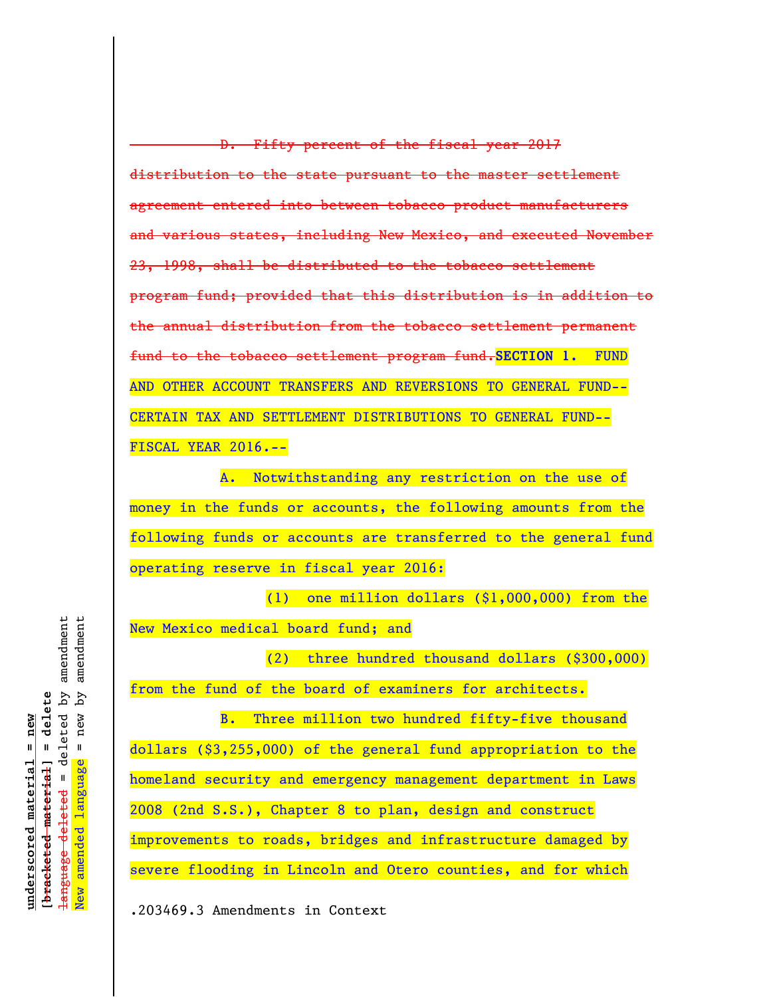D. Fifty percent of the fiscal year 2017 distribution to the state pursuant to the master settlement agreement entered into between tobacco product manufacturers various states, including New Mexico, and executed November 23, 1998, shall be distributed to the tobacco settlement program fund; provided that this distribution is in addition to the annual distribution from the tobacco settlement permanent fund to the tobacco settlement program fund.**SECTION 1.** FUND AND OTHER ACCOUNT TRANSFERS AND REVERSIONS TO GENERAL FUND-- CERTAIN TAX AND SETTLEMENT DISTRIBUTIONS TO GENERAL FUND-- FISCAL YEAR 2016.--

A. Notwithstanding any restriction on the use of money in the funds or accounts, the following amounts from the following funds or accounts are transferred to the general fund operating reserve in fiscal year 2016:

(1) one million dollars (\$1,000,000) from the New Mexico medical board fund; and

(2) three hundred thousand dollars (\$300,000) from the fund of the board of examiners for architects.

B. Three million two hundred fifty-five thousand dollars (\$3,255,000) of the general fund appropriation to the homeland security and emergency management department in Laws 2008 (2nd S.S.), Chapter 8 to plan, design and construct improvements to roads, bridges and infrastructure damaged by severe flooding in Lincoln and Otero counties, and for which

.203469.3 Amendments in Context

deleted by amendment amendment language deleted = deleted by amendment New amended language = new by amendment [bracketed material] = delete ζq **[bracketed material] = delete**  $=$  new  $underscored material = new$ **underscored material = new** amended language  $\mathbf{I}$ <del>language deleted</del> New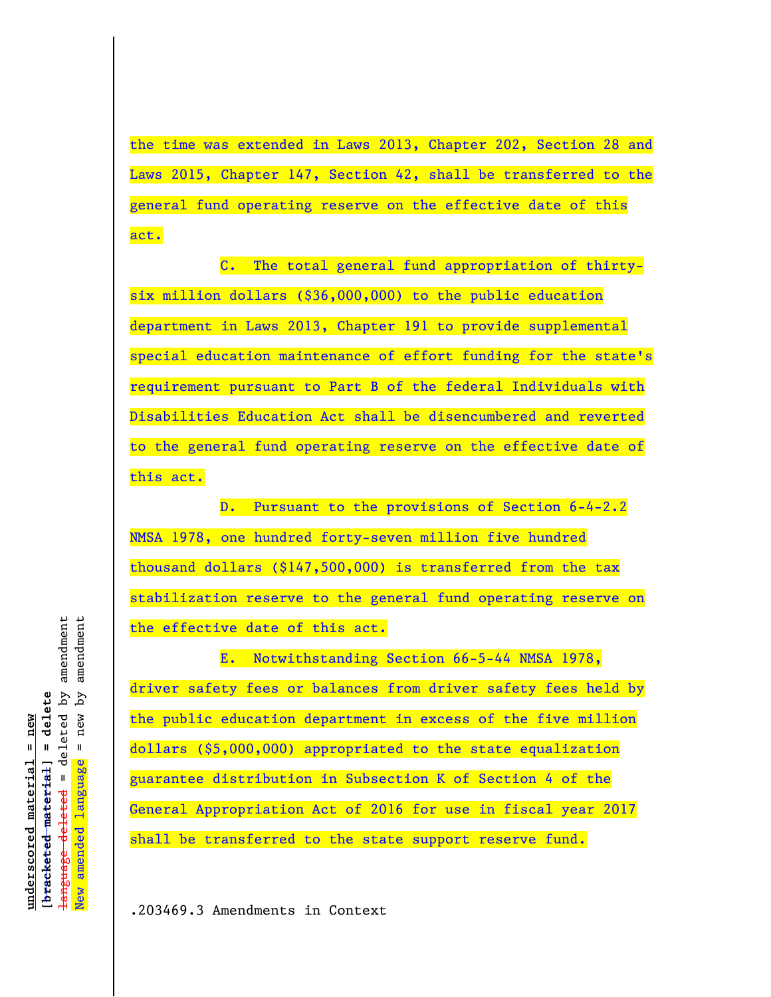the time was extended in Laws 2013, Chapter 202, Section 28 and Laws 2015, Chapter 147, Section 42, shall be transferred to the general fund operating reserve on the effective date of this act.

C. The total general fund appropriation of thirtysix million dollars (\$36,000,000) to the public education department in Laws 2013, Chapter 191 to provide supplemental special education maintenance of effort funding for the state's requirement pursuant to Part B of the federal Individuals with Disabilities Education Act shall be disencumbered and reverted to the general fund operating reserve on the effective date of this act.

D. Pursuant to the provisions of Section 6-4-2.2 NMSA 1978, one hundred forty-seven million five hundred thousand dollars (\$147,500,000) is transferred from the tax stabilization reserve to the general fund operating reserve on the effective date of this act.

E. Notwithstanding Section 66-5-44 NMSA 1978, driver safety fees or balances from driver safety fees held by the public education department in excess of the five million dollars (\$5,000,000) appropriated to the state equalization guarantee distribution in Subsection K of Section 4 of the General Appropriation Act of 2016 for use in fiscal year 2017 shall be transferred to the state support reserve fund.

deleted by amendment amendment language deleted = deleted by amendment New amended language = new by amendment  $\overline{\mathsf{A}}$ q [bracketed material] = delete **[bracketed material] = delete**  $=$  new  $underscored$  material = new **underscored material = new** amended language  $\mathbf{I}$ <del>language deleted</del> New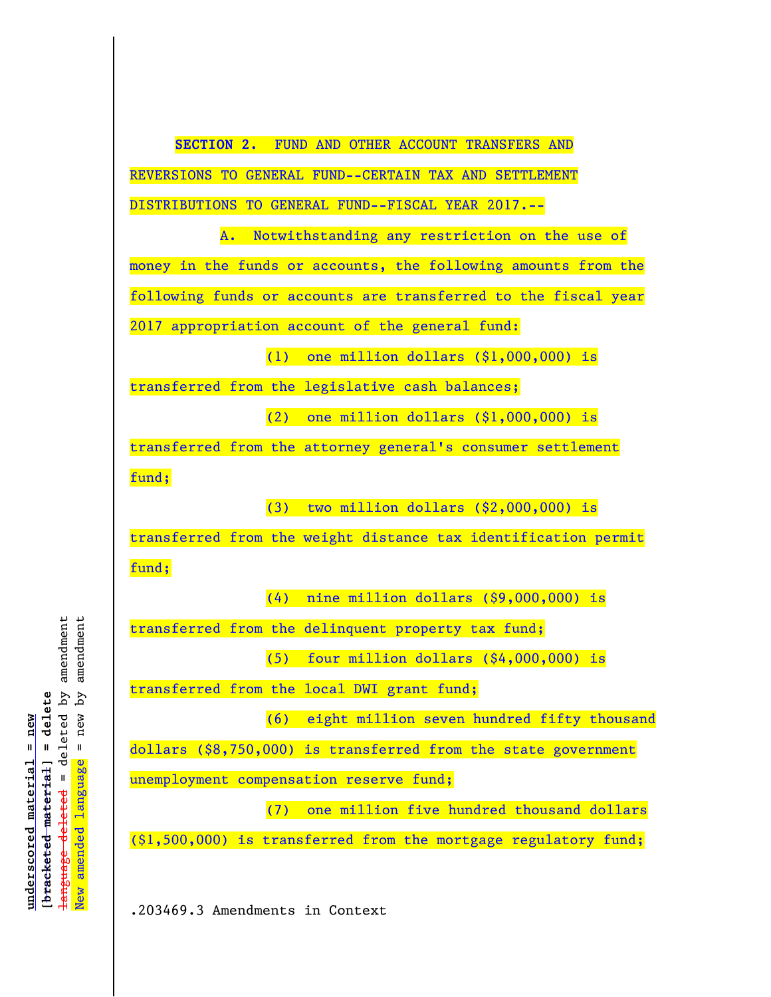

amendment deleted by amendment language deleted = deleted by amendment New amended language = new by amendment  $\overline{\mathsf{A}}$ q [bracketed material] = delete **[bracketed material] = delete**  $=$  new  $underscored$  material = new **underscored material = new** New amended language  $\mathbf{I}$ <del>language deleted</del>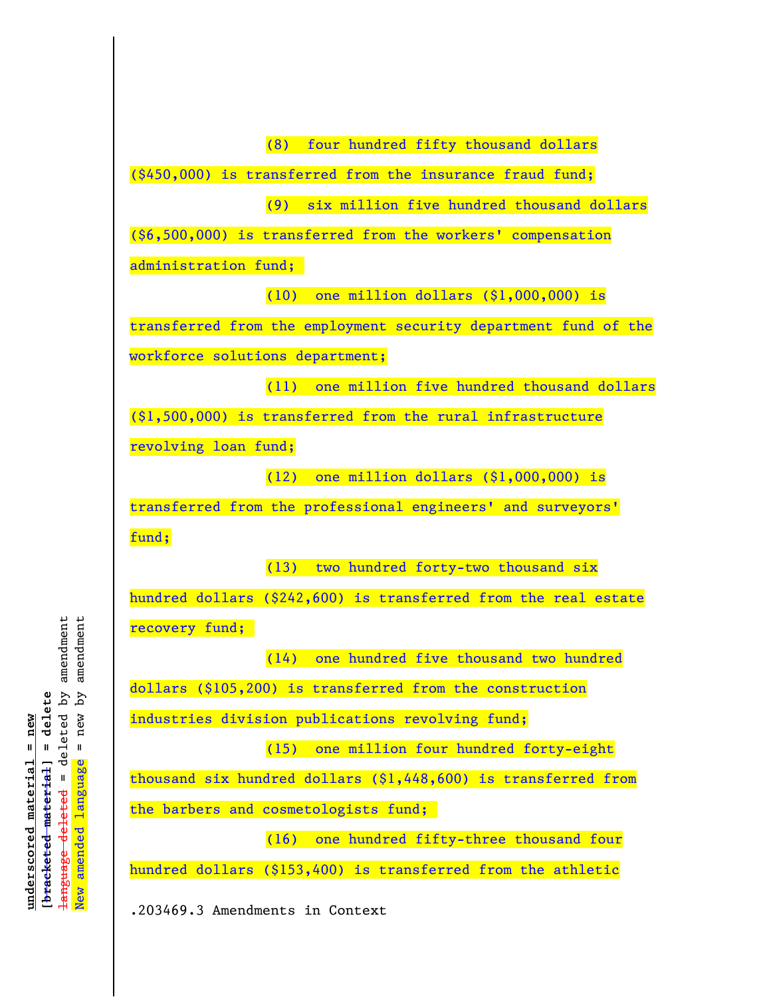(8) four hundred fifty thousand dollars (\$450,000) is transferred from the insurance fraud fund; (9) six million five hundred thousand dollars (\$6,500,000) is transferred from the workers' compensation administration fund; (10) one million dollars (\$1,000,000) is transferred from the employment security department fund of the workforce solutions department; (11) one million five hundred thousand dollars (\$1,500,000) is transferred from the rural infrastructure revolving loan fund; (12) one million dollars (\$1,000,000) is transferred from the professional engineers' and surveyors' fund; (13) two hundred forty-two thousand six hundred dollars (\$242,600) is transferred from the real estate recovery fund; (14) one hundred five thousand two hundred dollars (\$105,200) is transferred from the construction industries division publications revolving fund; (15) one million four hundred forty-eight thousand six hundred dollars (\$1,448,600) is transferred from the barbers and cosmetologists fund; (16) one hundred fifty-three thousand four hundred dollars (\$153,400) is transferred from the athletic

.203469.3 Amendments in Context

deleted by amendment amendment language deleted = deleted by amendment New amended language = new by amendment [bracketed material] = delete  $=$  new by **[bracketed material] = delete**  $underscored$  material = new **underscored material = new** amended language  $\mathbf{I}$ language deleted New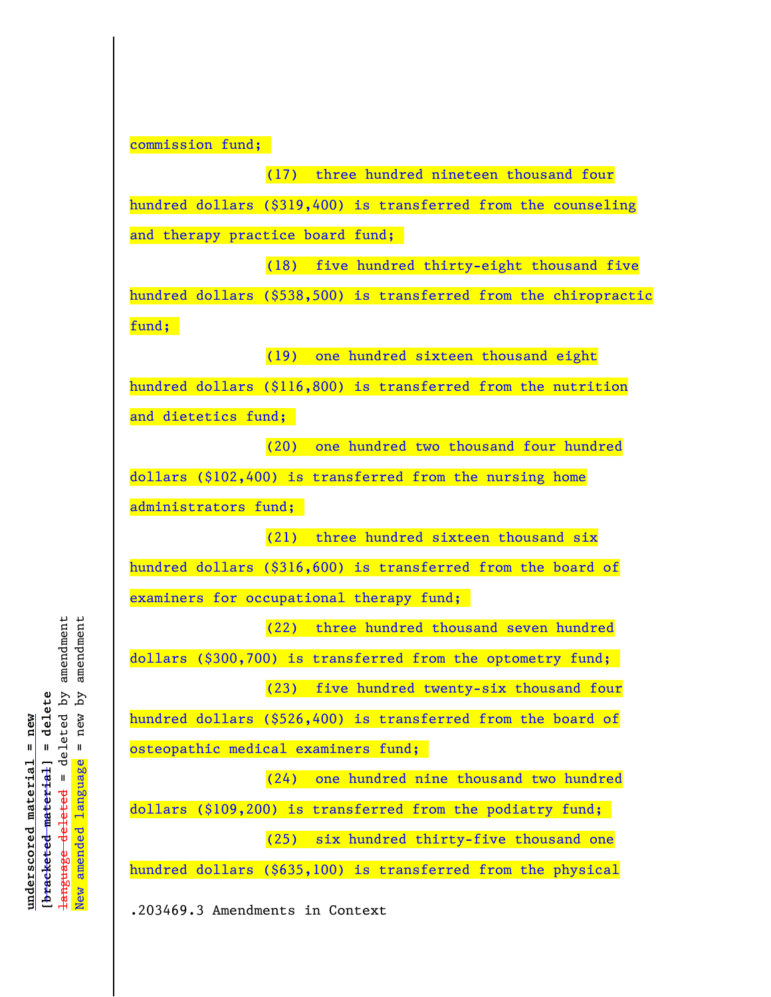commission fund;

(17) three hundred nineteen thousand four hundred dollars (\$319,400) is transferred from the counseling and therapy practice board fund;

(18) five hundred thirty-eight thousand five hundred dollars (\$538,500) is transferred from the chiropractic fund;

(19) one hundred sixteen thousand eight

hundred dollars (\$116,800) is transferred from the nutrition

and dietetics fund;

(20) one hundred two thousand four hundred dollars (\$102,400) is transferred from the nursing home administrators fund;

(21) three hundred sixteen thousand six hundred dollars (\$316,600) is transferred from the board of examiners for occupational therapy fund;

(22) three hundred thousand seven hundred dollars (\$300,700) is transferred from the optometry fund; (23) five hundred twenty-six thousand four

hundred dollars (\$526,400) is transferred from the board of osteopathic medical examiners fund;

(24) one hundred nine thousand two hundred dollars (\$109,200) is transferred from the podiatry fund; (25) six hundred thirty-five thousand one

hundred dollars (\$635,100) is transferred from the physical

.203469.3 Amendments in Context

deleted by amendment amendment language deleted = deleted by amendment New amended language = new by amendment [bracketed material] = delete Ъy **[bracketed material] = delete**  $=$  new  $underscored$  material = new **underscored material = new** amended language  $\mathbf{I}$ language deleted New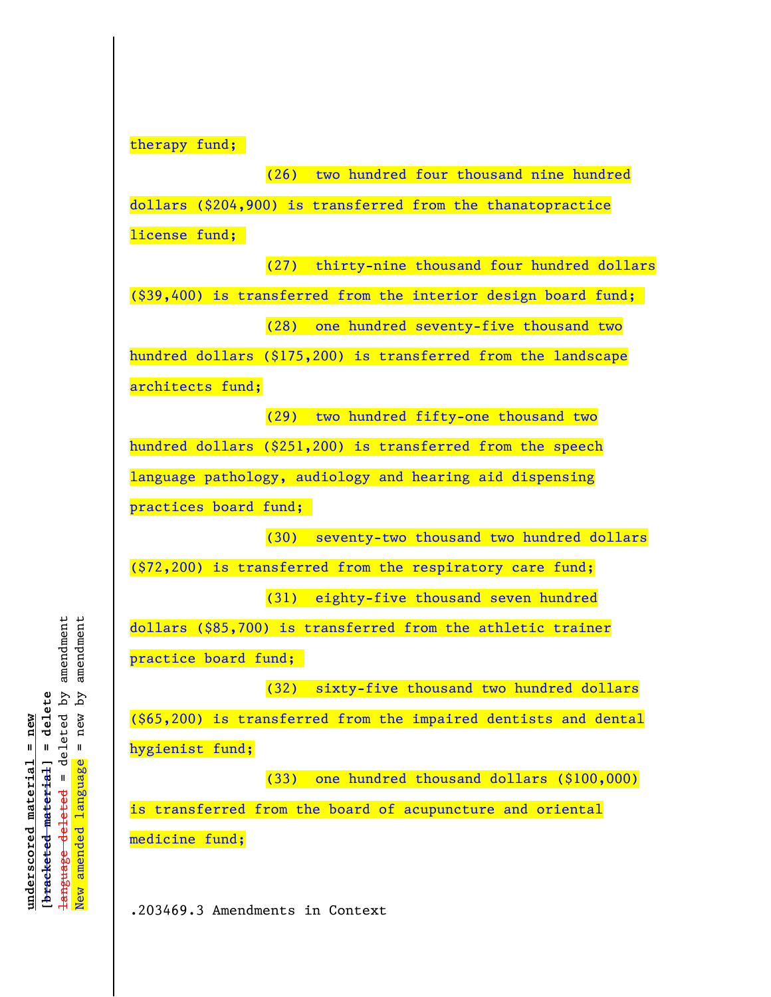therapy fund;

(26) two hundred four thousand nine hundred dollars (\$204,900) is transferred from the thanatopractice license fund; (27) thirty-nine thousand four hundred dollars (\$39,400) is transferred from the interior design board fund; (28) one hundred seventy-five thousand two hundred dollars (\$175,200) is transferred from the landscape architects fund; (29) two hundred fifty-one thousand two hundred dollars (\$251,200) is transferred from the speech language pathology, audiology and hearing aid dispensing practices board fund; (30) seventy-two thousand two hundred dollars (\$72,200) is transferred from the respiratory care fund; (31) eighty-five thousand seven hundred dollars (\$85,700) is transferred from the athletic trainer practice board fund; (32) sixty-five thousand two hundred dollars (\$65,200) is transferred from the impaired dentists and dental hygienist fund; (33) one hundred thousand dollars (\$100,000) is transferred from the board of acupuncture and oriental medicine fund;

.203469.3 Amendments in Context

deleted by amendment amendment language deleted = deleted by amendment New amended language = new by amendment ζq [bracketed material] = delete **[bracketed material] = delete**  $=$  new  $underscored$  material = new **underscored material = new** amended language  $\mathbf{I}$ language deleted New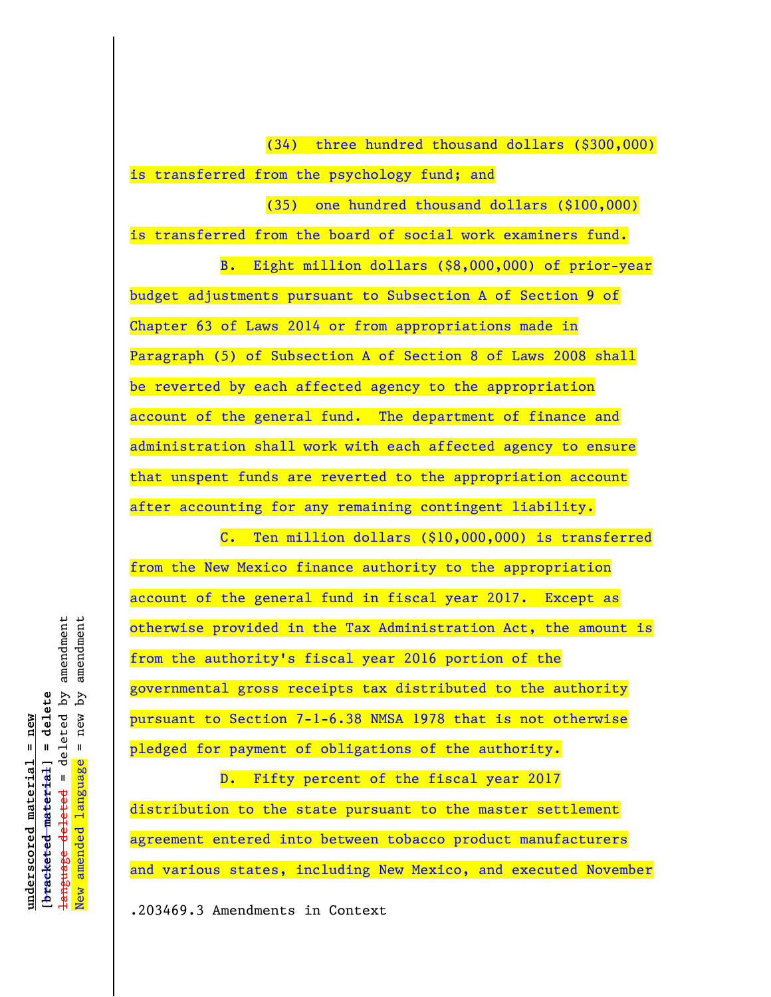(34) three hundred thousand dollars (\$300,000)

is transferred from the psychology fund; and

(35) one hundred thousand dollars (\$100,000)

is transferred from the board of social work examiners fund.

B. Eight million dollars (\$8,000,000) of prior-year budget adjustments pursuant to Subsection A of Section 9 of Chapter 63 of Laws 2014 or from appropriations made in Paragraph (5) of Subsection A of Section 8 of Laws 2008 shall be reverted by each affected agency to the appropriation account of the general fund. The department of finance and administration shall work with each affected agency to ensure that unspent funds are reverted to the appropriation account after accounting for any remaining contingent liability.

C. Ten million dollars (\$10,000,000) is transferred from the New Mexico finance authority to the appropriation account of the general fund in fiscal year 2017. Except as otherwise provided in the Tax Administration Act, the amount is from the authority's fiscal year 2016 portion of the governmental gross receipts tax distributed to the authority pursuant to Section 7-1-6.38 NMSA 1978 that is not otherwise pledged for payment of obligations of the authority.

D. Fifty percent of the fiscal year 2017 distribution to the state pursuant to the master settlement agreement entered into between tobacco product manufacturers and various states, including New Mexico, and executed November

.203469.3 Amendments in Context

amendment amendment language deleted = deleted by amendment New amended language = new by amendment deleted by  $\mathcal{L}_{\mathbf{q}}$ [bracketed material] = delete **[bracketed material] = delete**  $=$  new  $underscored$  material = new **underscored material = new** amended language  $\mathbf{I}$ <del>language deleted</del> New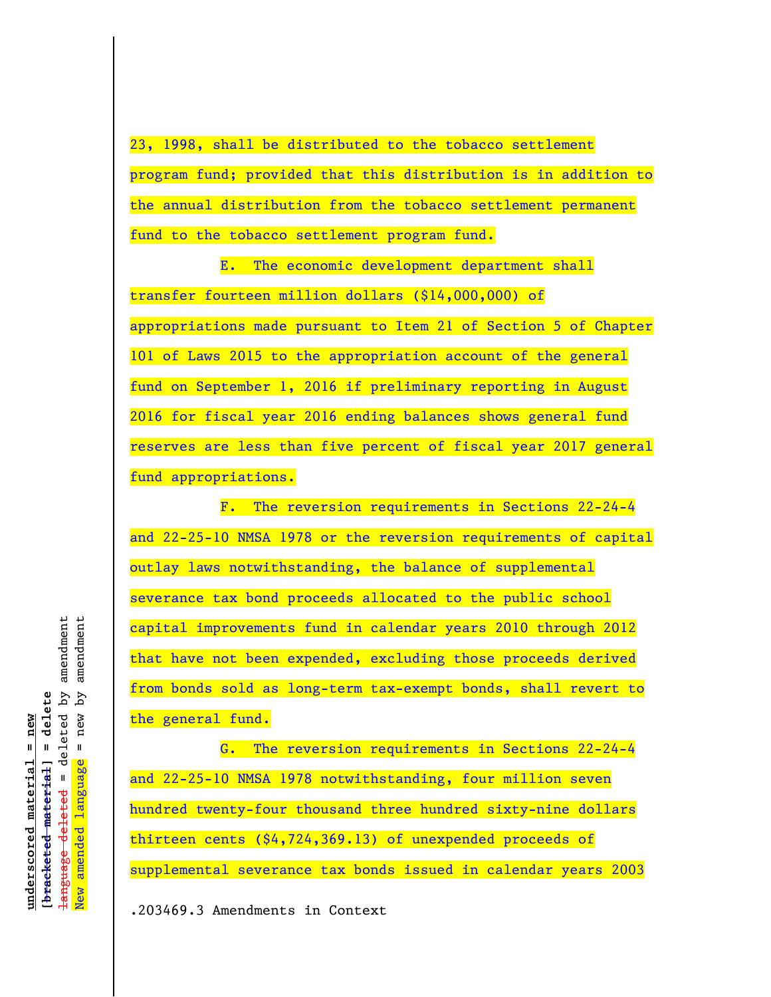23, 1998, shall be distributed to the tobacco settlement program fund; provided that this distribution is in addition to the annual distribution from the tobacco settlement permanent fund to the tobacco settlement program fund.

E. The economic development department shall transfer fourteen million dollars (\$14,000,000) of appropriations made pursuant to Item 21 of Section 5 of Chapter 101 of Laws 2015 to the appropriation account of the general fund on September 1, 2016 if preliminary reporting in August 2016 for fiscal year 2016 ending balances shows general fund reserves are less than five percent of fiscal year 2017 general fund appropriations.

F. The reversion requirements in Sections 22-24-4 and 22-25-10 NMSA 1978 or the reversion requirements of capital outlay laws notwithstanding, the balance of supplemental severance tax bond proceeds allocated to the public school capital improvements fund in calendar years 2010 through 2012 that have not been expended, excluding those proceeds derived from bonds sold as long-term tax-exempt bonds, shall revert to the general fund.

G. The reversion requirements in Sections 22-24-4 and 22-25-10 NMSA 1978 notwithstanding, four million seven hundred twenty-four thousand three hundred sixty-nine dollars thirteen cents (\$4,724,369.13) of unexpended proceeds of supplemental severance tax bonds issued in calendar years 2003

.203469.3 Amendments in Context

deleted by amendment amendment language deleted = deleted by amendment New amended language = new by amendment [bracketed material] = delete  $=$  new by **[bracketed material] = delete**  $underscored$  material = new **underscored material = new** amended language  $\mathbf{I}$ <del>language deleted</del> New